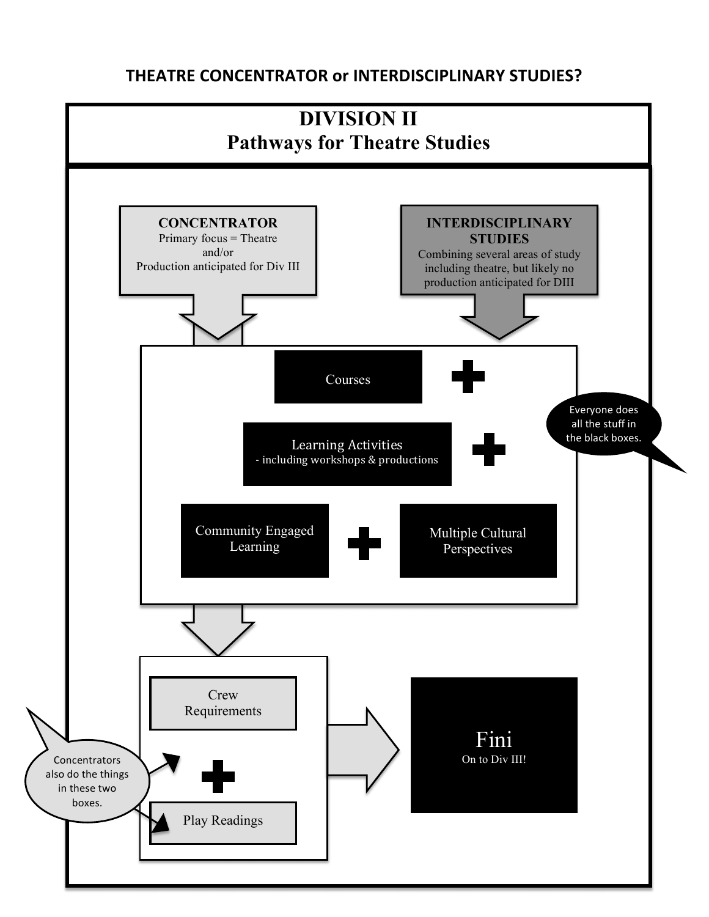## **THEATRE CONCENTRATOR or INTERDISCIPLINARY STUDIES?**

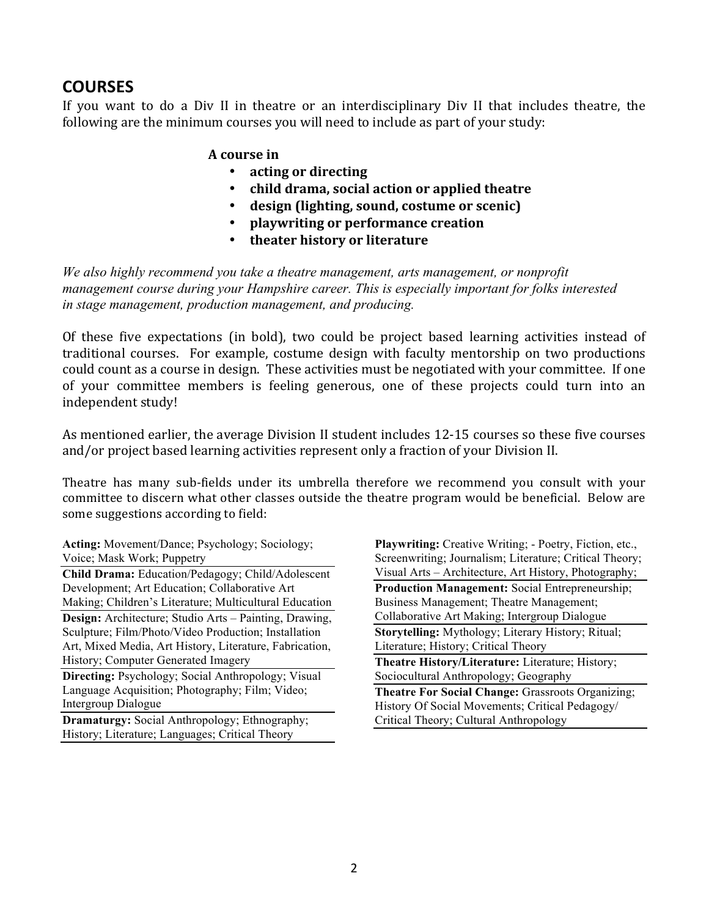## **COURSES**

If you want to do a Div II in theatre or an interdisciplinary Div II that includes theatre, the following are the minimum courses you will need to include as part of your study:

## **A course in**

- acting or directing
- **child drama, social action or applied theatre**
- design (lighting, sound, costume or scenic)
- **playwriting or performance creation**
- **theater history or literature**

*We also highly recommend you take a theatre management, arts management, or nonprofit management course during your Hampshire career. This is especially important for folks interested in stage management, production management, and producing.*

Of these five expectations (in bold), two could be project based learning activities instead of traditional courses. For example, costume design with faculty mentorship on two productions could count as a course in design. These activities must be negotiated with your committee. If one of vour committee members is feeling generous, one of these projects could turn into an independent study!

As mentioned earlier, the average Division II student includes 12-15 courses so these five courses and/or project based learning activities represent only a fraction of your Division II.

Theatre has many sub-fields under its umbrella therefore we recommend you consult with your committee to discern what other classes outside the theatre program would be beneficial. Below are some suggestions according to field:

**Acting:** Movement/Dance; Psychology; Sociology; Voice; Mask Work; Puppetry

**Child Drama:** Education/Pedagogy; Child/Adolescent Development; Art Education; Collaborative Art Making; Children's Literature; Multicultural Education **Design:** Architecture; Studio Arts – Painting, Drawing, Sculpture; Film/Photo/Video Production; Installation Art, Mixed Media, Art History, Literature, Fabrication, History; Computer Generated Imagery **Directing:** Psychology; Social Anthropology; Visual

Language Acquisition; Photography; Film; Video; Intergroup Dialogue

**Dramaturgy:** Social Anthropology; Ethnography; History; Literature; Languages; Critical Theory

**Playwriting:** Creative Writing; - Poetry, Fiction, etc., Screenwriting; Journalism; Literature; Critical Theory; Visual Arts – Architecture, Art History, Photography; **Production Management: Social Entrepreneurship:** Business Management; Theatre Management; Collaborative Art Making; Intergroup Dialogue **Storytelling:** Mythology; Literary History; Ritual; Literature; History; Critical Theory **Theatre History/Literature:** Literature; History; Sociocultural Anthropology; Geography **Theatre For Social Change: Grassroots Organizing;** History Of Social Movements; Critical Pedagogy/ Critical Theory; Cultural Anthropology